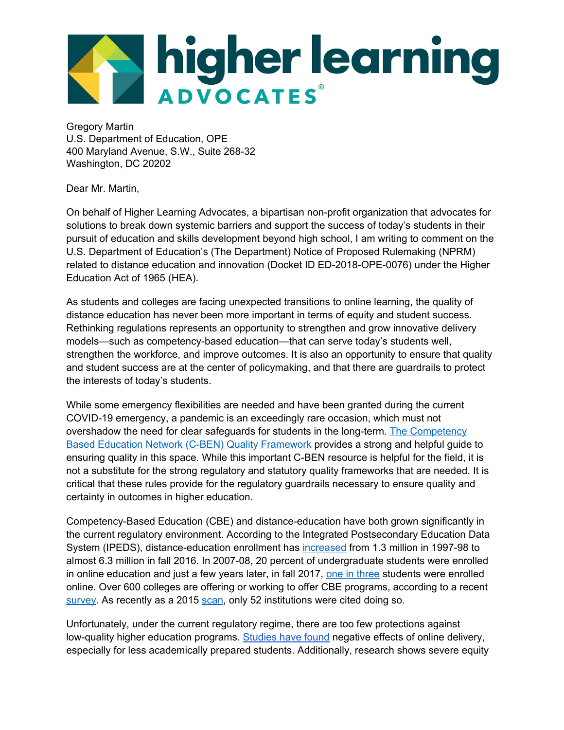

Gregory Martin U.S. Department of Education, OPE 400 Maryland Avenue, S.W., Suite 268-32 Washington, DC 20202

Dear Mr. Martin,

On behalf of Higher Learning Advocates, a bipartisan non-profit organization that advocates for solutions to break down systemic barriers and support the success of today's students in their pursuit of education and skills development beyond high school, I am writing to comment on the U.S. Department of Education's (The Department) Notice of Proposed Rulemaking (NPRM) related to distance education and innovation (Docket ID ED-2018-OPE-0076) under the Higher Education Act of 1965 (HEA).

As students and colleges are facing unexpected transitions to online learning, the quality of distance education has never been more important in terms of equity and student success. Rethinking regulations represents an opportunity to strengthen and grow innovative delivery models—such as competency-based education—that can serve today's students well, strengthen the workforce, and improve outcomes. It is also an opportunity to ensure that quality and student success are at the center of policymaking, and that there are guardrails to protect the interests of today's students.

While some emergency flexibilities are needed and have been granted during the current COVID-19 emergency, a pandemic is an exceedingly rare occasion, which must not overshadow the need for clear safeguards for students in the long-term. The [Competency](https://www.cbenetwork.org/wp-content/uploads/2018/09/Quality-Framework-for-Competency-Based-Education-Programs-Updated.pdf) Based Education Network (C-BEN) Quality [Framework](https://www.cbenetwork.org/wp-content/uploads/2018/09/Quality-Framework-for-Competency-Based-Education-Programs-Updated.pdf) provides a strong and helpful guide to ensuring quality in this space. While this important C-BEN resource is helpful for the field, it is not a substitute for the strong regulatory and statutory quality frameworks that are needed. It is critical that these rules provide for the regulatory guardrails necessary to ensure quality and certainty in outcomes in higher education.

Competency-Based Education (CBE) and distance-education have both grown significantly in the current regulatory environment. According to the Integrated Postsecondary Education Data System (IPEDS), distance-education enrollment has [increased](https://nces.ed.gov/pubs2012/2012154.pdf) from 1.3 million in 1997-98 to almost 6.3 million in fall 2016. In 2007-08, 20 percent of undergraduate students were enrolled in online education and just a few years later, in fall 2017, one in [three](https://nces.ed.gov/fastfacts/display.asp?id=80) students were enrolled online. Over 600 colleges are offering or working to offer CBE programs, according to a recent [survey](https://www.insidehighered.com/news/2015/09/10/amid-competency-based-education-boom-meeting-help-colleges-do-it-right). As recently as a 2015 [scan](https://eric.ed.gov/?id=ED566651), only 52 institutions were cited doing so.

Unfortunately, under the current regulatory regime, there are too few protections against low-quality higher education programs. [Studies](https://www.aei.org/research-products/report/the-promises-and-limits-of-online-higher-education/) have found negative effects of online delivery, especially for less academically prepared students. Additionally, research shows severe equity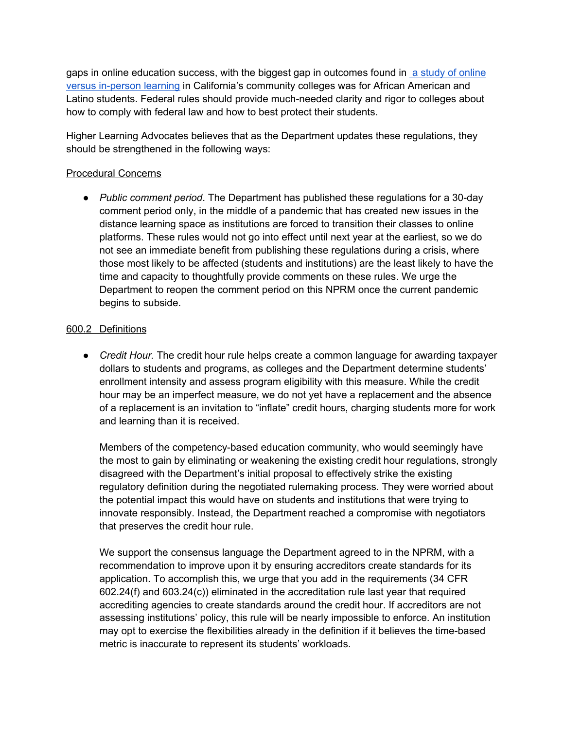gaps in online education success, with the biggest gap in outcomes found in a study of [online](https://www.ppic.org/content/pubs/report/R_514HJR.pdf) versus [in-person](https://www.ppic.org/content/pubs/report/R_514HJR.pdf) learning in California's community colleges was for African American and Latino students. Federal rules should provide much-needed clarity and rigor to colleges about how to comply with federal law and how to best protect their students.

Higher Learning Advocates believes that as the Department updates these regulations, they should be strengthened in the following ways:

## Procedural Concerns

● *Public comment period*. The Department has published these regulations for a 30-day comment period only, in the middle of a pandemic that has created new issues in the distance learning space as institutions are forced to transition their classes to online platforms. These rules would not go into effect until next year at the earliest, so we do not see an immediate benefit from publishing these regulations during a crisis, where those most likely to be affected (students and institutions) are the least likely to have the time and capacity to thoughtfully provide comments on these rules. We urge the Department to reopen the comment period on this NPRM once the current pandemic begins to subside.

## 600.2 Definitions

● *Credit Hour.* The credit hour rule helps create a common language for awarding taxpayer dollars to students and programs, as colleges and the Department determine students' enrollment intensity and assess program eligibility with this measure. While the credit hour may be an imperfect measure, we do not yet have a replacement and the absence of a replacement is an invitation to "inflate" credit hours, charging students more for work and learning than it is received.

Members of the competency-based education community, who would seemingly have the most to gain by eliminating or weakening the existing credit hour regulations, strongly disagreed with the Department's initial proposal to effectively strike the existing regulatory definition during the negotiated rulemaking process. They were worried about the potential impact this would have on students and institutions that were trying to innovate responsibly. Instead, the Department reached a compromise with negotiators that preserves the credit hour rule.

We support the consensus language the Department agreed to in the NPRM, with a recommendation to improve upon it by ensuring accreditors create standards for its application. To accomplish this, we urge that you add in the requirements (34 CFR 602.24(f) and 603.24(c)) eliminated in the accreditation rule last year that required accrediting agencies to create standards around the credit hour. If accreditors are not assessing institutions' policy, this rule will be nearly impossible to enforce. An institution may opt to exercise the flexibilities already in the definition if it believes the time-based metric is inaccurate to represent its students' workloads.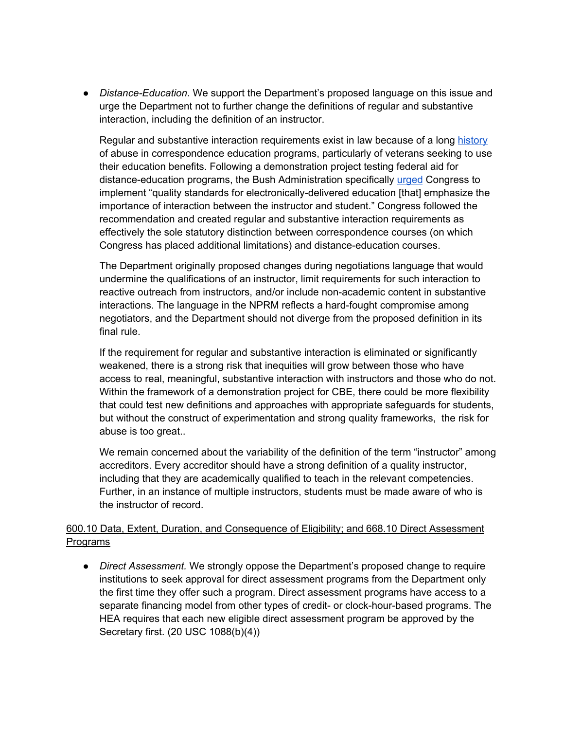● *Distance-Education*. We support the Department's proposed language on this issue and urge the Department not to further change the definitions of regular and substantive interaction, including the definition of an instructor.

Regular and substantive interaction requirements exist in law because of a long [history](https://www.newamerica.org/education-policy/reports/cautionary-tale-correspondence-schools/) of abuse in correspondence education programs, particularly of veterans seeking to use their education benefits. Following a demonstration project testing federal aid for distance-education programs, the Bush Administration specifically [urged](https://www2.ed.gov/programs/disted/DEDP-thirdreport.pdf) Congress to implement "quality standards for electronically-delivered education [that] emphasize the importance of interaction between the instructor and student." Congress followed the recommendation and created regular and substantive interaction requirements as effectively the sole statutory distinction between correspondence courses (on which Congress has placed additional limitations) and distance-education courses.

The Department originally proposed changes during negotiations language that would undermine the qualifications of an instructor, limit requirements for such interaction to reactive outreach from instructors, and/or include non-academic content in substantive interactions. The language in the NPRM reflects a hard-fought compromise among negotiators, and the Department should not diverge from the proposed definition in its final rule.

If the requirement for regular and substantive interaction is eliminated or significantly weakened, there is a strong risk that inequities will grow between those who have access to real, meaningful, substantive interaction with instructors and those who do not. Within the framework of a demonstration project for CBE, there could be more flexibility that could test new definitions and approaches with appropriate safeguards for students, but without the construct of experimentation and strong quality frameworks, the risk for abuse is too great..

We remain concerned about the variability of the definition of the term "instructor" among accreditors. Every accreditor should have a strong definition of a quality instructor, including that they are academically qualified to teach in the relevant competencies. Further, in an instance of multiple instructors, students must be made aware of who is the instructor of record.

## 600.10 Data, Extent, Duration, and Consequence of Eligibility; and 668.10 Direct Assessment Programs

● *Direct Assessment.* We strongly oppose the Department's proposed change to require institutions to seek approval for direct assessment programs from the Department only the first time they offer such a program. Direct assessment programs have access to a separate financing model from other types of credit- or clock-hour-based programs. The HEA requires that each new eligible direct assessment program be approved by the Secretary first. (20 USC 1088(b)(4))